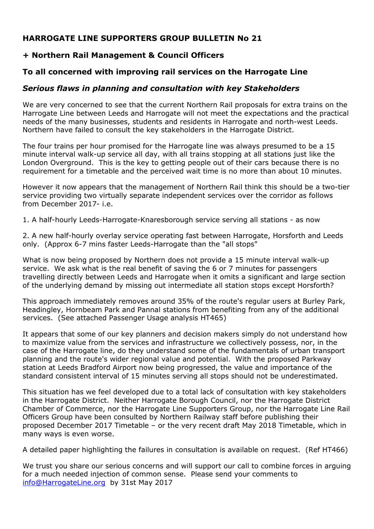# **HARROGATE LINE SUPPORTERS GROUP BULLETIN No 21**

## **+ Northern Rail Management & Council Officers**

## **To all concerned with improving rail services on the Harrogate Line**

### *Serious flaws in planning and consultation with key Stakeholders*

We are very concerned to see that the current Northern Rail proposals for extra trains on the Harrogate Line between Leeds and Harrogate will not meet the expectations and the practical needs of the many businesses, students and residents in Harrogate and north-west Leeds. Northern have failed to consult the key stakeholders in the Harrogate District.

The four trains per hour promised for the Harrogate line was always presumed to be a 15 minute interval walk-up service all day, with all trains stopping at all stations just like the London Overground. This is the key to getting people out of their cars because there is no requirement for a timetable and the perceived wait time is no more than about 10 minutes.

However it now appears that the management of Northern Rail think this should be a two-tier service providing two virtually separate independent services over the corridor as follows from December 2017- i.e.

1. A half-hourly Leeds-Harrogate-Knaresborough service serving all stations - as now

2. A new half-hourly overlay service operating fast between Harrogate, Horsforth and Leeds only. (Approx 6-7 mins faster Leeds-Harrogate than the "all stops"

What is now being proposed by Northern does not provide a 15 minute interval walk-up service. We ask what is the real benefit of saving the 6 or 7 minutes for passengers travelling directly between Leeds and Harrogate when it omits a significant and large section of the underlying demand by missing out intermediate all station stops except Horsforth?

This approach immediately removes around 35% of the route's regular users at Burley Park, Headingley, Hornbeam Park and Pannal stations from benefiting from any of the additional services. (See attached Passenger Usage analysis HT465)

It appears that some of our key planners and decision makers simply do not understand how to maximize value from the services and infrastructure we collectively possess, nor, in the case of the Harrogate line, do they understand some of the fundamentals of urban transport planning and the route's wider regional value and potential. With the proposed Parkway station at Leeds Bradford Airport now being progressed, the value and importance of the standard consistent interval of 15 minutes serving all stops should not be underestimated.

This situation has we feel developed due to a total lack of consultation with key stakeholders in the Harrogate District. Neither Harrogate Borough Council, nor the Harrogate District Chamber of Commerce, nor the Harrogate Line Supporters Group, nor the Harrogate Line Rail Officers Group have been consulted by Northern Railway staff before publishing their proposed December 2017 Timetable – or the very recent draft May 2018 Timetable, which in many ways is even worse.

A detailed paper highlighting the failures in consultation is available on request. (Ref HT466)

We trust you share our serious concerns and will support our call to combine forces in arguing for a much needed injection of common sense. Please send your comments to info@HarrogateLine.org by 31st May 2017